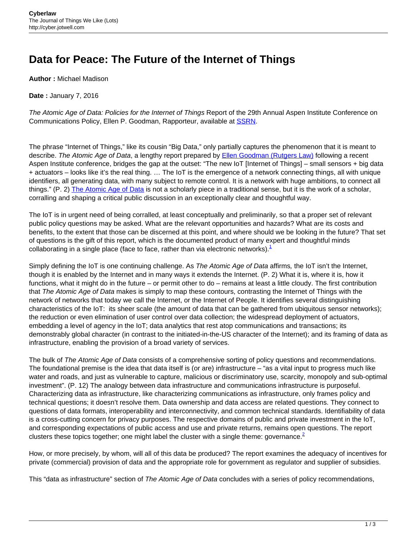## **Data for Peace: The Future of the Internet of Things**

**Author :** Michael Madison

**Date :** January 7, 2016

The Atomic Age of Data: Policies for the Internet of Things Report of the 29th Annual Aspen Institute Conference on Communications Policy, Ellen P. Goodman, Rapporteur, available at **[SSRN](http://ssrn.com/abstract=2605201)**.

The phrase "Internet of Things," like its cousin "Big Data," only partially captures the phenomenon that it is meant to describe. The Atomic Age of Data, a lengthy report prepared by **[Ellen Goodman \(Rutgers Law\)](http://camlaw.rutgers.edu/directory/1020/)** following a recent Aspen Institute conference, bridges the gap at the outset: "The new IoT [Internet of Things] – small sensors + big data + actuators – looks like it's the real thing. … The IoT is the emergence of a network connecting things, all with unique identifiers, all generating data, with many subject to remote control. It is a network with huge ambitions, to connect all things." (P. 2) [The Atomic Age of Data](http://papers.ssrn.com/sol3/papers.cfm?abstract_id=2605201) is not a scholarly piece in a traditional sense, but it is the work of a scholar, corralling and shaping a critical public discussion in an exceptionally clear and thoughtful way.

The IoT is in urgent need of being corralled, at least conceptually and preliminarily, so that a proper set of relevant public policy questions may be asked. What are the relevant opportunities and hazards? What are its costs and benefits, to the extent that those can be discerned at this point, and where should we be looking in the future? That set of questions is the gift of this report, which is the documented product of many expert and thoughtful minds collaborating in a single place (face to face, rather than via electronic networks). $<sup>1</sup>$ </sup>

Simply defining the IoT is one continuing challenge. As The Atomic Age of Data affirms, the IoT isn't the Internet, though it is enabled by the Internet and in many ways it extends the Internet. (P. 2) What it is, where it is, how it functions, what it might do in the future – or permit other to do – remains at least a little cloudy. The first contribution that The Atomic Age of Data makes is simply to map these contours, contrasting the Internet of Things with the network of networks that today we call the Internet, or the Internet of People. It identifies several distinguishing characteristics of the IoT: its sheer scale (the amount of data that can be gathered from ubiquitous sensor networks); the reduction or even elimination of user control over data collection; the widespread deployment of actuators, embedding a level of agency in the IoT; data analytics that rest atop communications and transactions; its demonstrably global character (in contrast to the initiated-in-the-US character of the Internet); and its framing of data as infrastructure, enabling the provision of a broad variety of services.

The bulk of The Atomic Age of Data consists of a comprehensive sorting of policy questions and recommendations. The foundational premise is the idea that data itself is (or are) infrastructure – "as a vital input to progress much like water and roads, and just as vulnerable to capture, malicious or discriminatory use, scarcity, monopoly and sub-optimal investment". (P. 12) The analogy between data infrastructure and communications infrastructure is purposeful. Characterizing data as infrastructure, like characterizing communications as infrastructure, only frames policy and technical questions; it doesn't resolve them. Data ownership and data access are related questions. They connect to questions of data formats, interoperability and interconnectivity, and common technical standards. Identifiability of data is a cross-cutting concern for privacy purposes. The respective domains of public and private investment in the IoT, and corresponding expectations of public access and use and private returns, remains open questions. The report clusters these topics together; one might label the cluster with a single theme: governance. $2$ 

How, or more precisely, by whom, will all of this data be produced? The report examines the adequacy of incentives for private (commercial) provision of data and the appropriate role for government as regulator and supplier of subsidies.

This "data as infrastructure" section of The Atomic Age of Data concludes with a series of policy recommendations,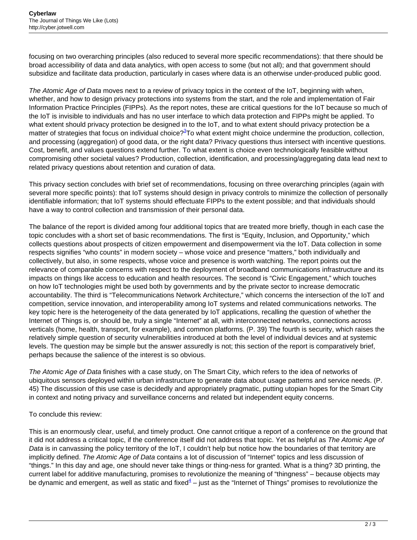focusing on two overarching principles (also reduced to several more specific recommendations): that there should be broad accessibility of data and data analytics, with open access to some (but not all); and that government should subsidize and facilitate data production, particularly in cases where data is an otherwise under-produced public good.

The Atomic Age of Data moves next to a review of privacy topics in the context of the IoT, beginning with when, whether, and how to design privacy protections into systems from the start, and the role and implementation of Fair Information Practice Principles (FIPPs). As the report notes, these are critical questions for the IoT because so much of the IoT is invisible to individuals and has no user interface to which data protection and FIPPs might be applied. To what extent should privacy protection be designed in to the IoT, and to what extent should privacy protection be a matter of strategies that focus on individual choice?<sup>3</sup>To what extent might choice undermine the production, collection, and processing (aggregation) of good data, or the right data? Privacy questions thus intersect with incentive questions. Cost, benefit, and values questions extend further. To what extent is choice even technologically feasible without compromising other societal values? Production, collection, identification, and processing/aggregating data lead next to related privacy questions about retention and curation of data.

This privacy section concludes with brief set of recommendations, focusing on three overarching principles (again with several more specific points): that IoT systems should design in privacy controls to minimize the collection of personally identifiable information; that IoT systems should effectuate FIPPs to the extent possible; and that individuals should have a way to control collection and transmission of their personal data.

The balance of the report is divided among four additional topics that are treated more briefly, though in each case the topic concludes with a short set of basic recommendations. The first is "Equity, Inclusion, and Opportunity," which collects questions about prospects of citizen empowerment and disempowerment via the IoT. Data collection in some respects signifies "who counts" in modern society – whose voice and presence "matters," both individually and collectively, but also, in some respects, whose voice and presence is worth watching. The report points out the relevance of comparable concerns with respect to the deployment of broadband communications infrastructure and its impacts on things like access to education and health resources. The second is "Civic Engagement," which touches on how IoT technologies might be used both by governments and by the private sector to increase democratic accountability. The third is "Telecommunications Network Architecture," which concerns the intersection of the IoT and competition, service innovation, and interoperability among IoT systems and related communications networks. The key topic here is the heterogeneity of the data generated by IoT applications, recalling the question of whether the Internet of Things is, or should be, truly a single "Internet" at all, with interconnected networks, connections across verticals (home, health, transport, for example), and common platforms. (P. 39) The fourth is security, which raises the relatively simple question of security vulnerabilities introduced at both the level of individual devices and at systemic levels. The question may be simple but the answer assuredly is not; this section of the report is comparatively brief, perhaps because the salience of the interest is so obvious.

The Atomic Age of Data finishes with a case study, on The Smart City, which refers to the idea of networks of ubiquitous sensors deployed within urban infrastructure to generate data about usage patterns and service needs. (P. 45) The discussion of this use case is decidedly and appropriately pragmatic, putting utopian hopes for the Smart City in context and noting privacy and surveillance concerns and related but independent equity concerns.

## To conclude this review:

This is an enormously clear, useful, and timely product. One cannot critique a report of a conference on the ground that it did not address a critical topic, if the conference itself did not address that topic. Yet as helpful as The Atomic Age of Data is in canvassing the policy territory of the IoT, I couldn't help but notice how the boundaries of that territory are implicitly defined. The Atomic Age of Data contains a lot of discussion of "Internet" topics and less discussion of "things." In this day and age, one should never take things or thing-ness for granted. What is a thing? 3D printing, the current label for additive manufacturing, promises to revolutionize the meaning of "thingness" – because objects may be dynamic and emergent, as well as static and fixed $^4$  – just as the "Internet of Things" promises to revolutionize the